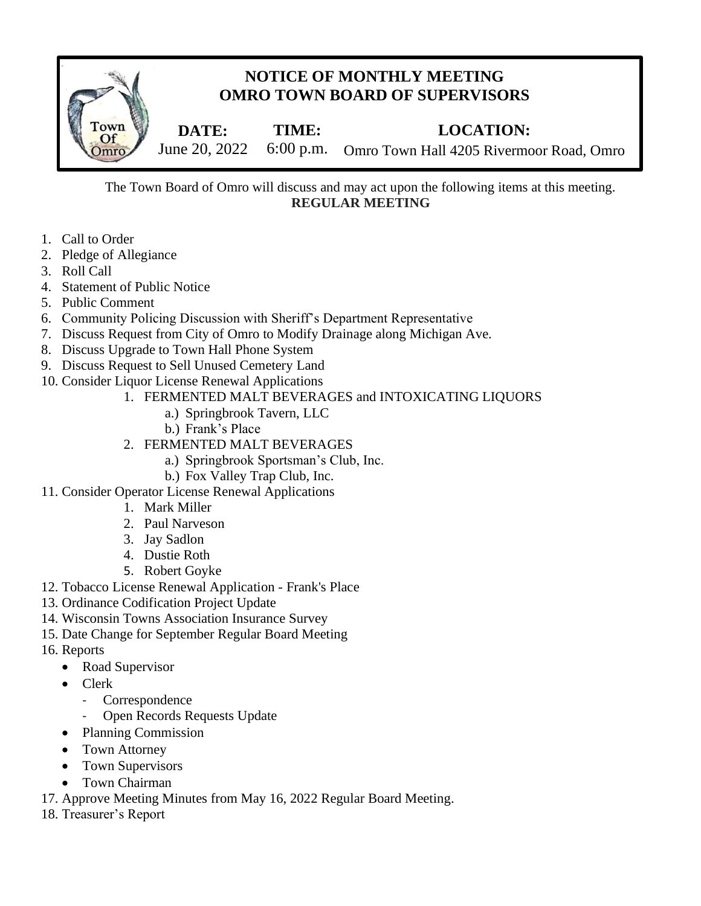

The Town Board of Omro will discuss and may act upon the following items at this meeting. **REGULAR MEETING**  $\overline{AC}$ 

- 1. Call to Order
- 2. Pledge of Allegiance
- 3. Roll Call
- 4. Statement of Public Notice
- 5. Public Comment
- 6. Community Policing Discussion with Sheriff's Department Representative
- 7. Discuss Request from City of Omro to Modify Drainage along Michigan Ave.
- 8. Discuss Upgrade to Town Hall Phone System
- 9. Discuss Request to Sell Unused Cemetery Land
- 10. Consider Liquor License Renewal Applications
	- 1. FERMENTED MALT BEVERAGES and INTOXICATING LIQUORS
		- a.) Springbrook Tavern, LLC
		- b.) Frank's Place
	- 2. FERMENTED MALT BEVERAGES
		- a.) Springbrook Sportsman's Club, Inc.
		- b.) Fox Valley Trap Club, Inc.
- 11. Consider Operator License Renewal Applications
	- 1. Mark Miller
	- 2. Paul Narveson
	- 3. Jay Sadlon
	- 4. Dustie Roth
	- 5. Robert Goyke
- 12. Tobacco License Renewal Application Frank's Place
- 13. Ordinance Codification Project Update
- 14. Wisconsin Towns Association Insurance Survey
- 15. Date Change for September Regular Board Meeting
- 16. Reports
	- Road Supervisor
	- Clerk
		- **Correspondence**
		- Open Records Requests Update
	- Planning Commission
	- Town Attorney
	- Town Supervisors
	- Town Chairman
- 17. Approve Meeting Minutes from May 16, 2022 Regular Board Meeting.
- 18. Treasurer's Report